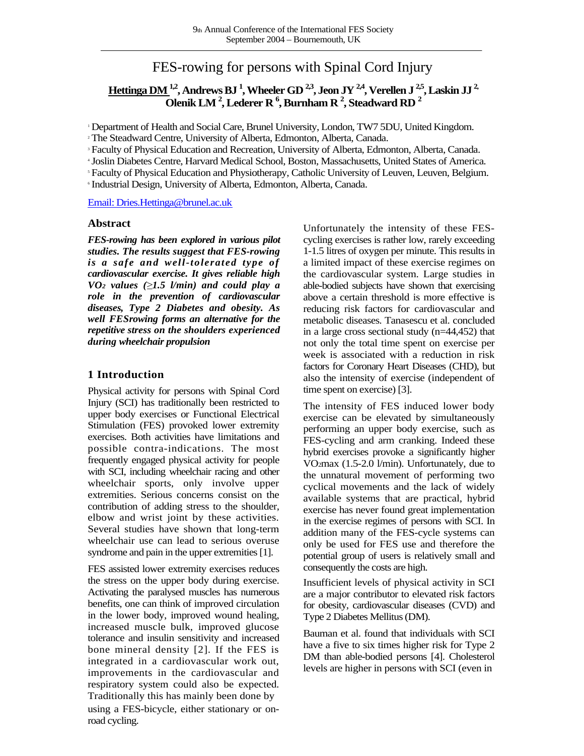# FES-rowing for persons with Spinal Cord Injury

## **Hettinga DM1,2, Andrews BJ <sup>1</sup> , Wheeler GD 2,3, Jeon JY 2,4, Verellen J 2,5, Laskin JJ 2, Olenik LM <sup>2</sup> , Lederer R <sup>6</sup> , Burnham R <sup>2</sup> , Steadward RD <sup>2</sup>**

<sup>1</sup> Department of Health and Social Care, Brunel University, London, TW7 5DU, United Kingdom.

<sup>2</sup> The Steadward Centre, University of Alberta, Edmonton, Alberta, Canada.

<sup>3</sup> Faculty of Physical Education and Recreation, University of Alberta, Edmonton, Alberta, Canada.

<sup>4</sup> Joslin Diabetes Centre, Harvard Medical School, Boston, Massachusetts, United States of America.

<sup>5</sup> Faculty of Physical Education and Physiotherapy, Catholic University of Leuven, Leuven, Belgium.

6 Industrial Design, University of Alberta, Edmonton, Alberta, Canada.

[Email: Dries.Hettinga@brunel.ac.uk](mailto:Dries.Hettinga@brunel.ac.uk)

#### **Abstract**

*FES-rowing has been explored in various pilot studies. The results suggest that FES-rowing is a safe and well-tolerated type of cardiovascular exercise. It gives reliable high VO<sup>2</sup> values (≥1.5 l/min) and could play a role in the prevention of cardiovascular diseases, Type 2 Diabetes and obesity. As well FESrowing forms an alternative for the repetitive stress on the shoulders experienced during wheelchair propulsion*

## **1 Introduction**

Physical activity for persons with Spinal Cord Injury (SCI) has traditionally been restricted to upper body exercises or Functional Electrical Stimulation (FES) provoked lower extremity exercises. Both activities have limitations and possible contra-indications. The most frequently engaged physical activity for people with SCI, including wheelchair racing and other wheelchair sports, only involve upper extremities. Serious concerns consist on the contribution of adding stress to the shoulder, elbow and wrist joint by these activities. Several studies have shown that long-term wheelchair use can lead to serious overuse syndrome and pain in the upper extremities [1].

FES assisted lower extremity exercises reduces the stress on the upper body during exercise. Activating the paralysed muscles has numerous benefits, one can think of improved circulation in the lower body, improved wound healing, increased muscle bulk, improved glucose tolerance and insulin sensitivity and increased bone mineral density [2]. If the FES is integrated in a cardiovascular work out, improvements in the cardiovascular and respiratory system could also be expected. Traditionally this has mainly been done by using a FES-bicycle, either stationary or onroad cycling.

Unfortunately the intensity of these FEScycling exercises is rather low, rarely exceeding 1-1.5 litres of oxygen per minute. This results in a limited impact of these exercise regimes on the cardiovascular system. Large studies in able-bodied subjects have shown that exercising above a certain threshold is more effective is reducing risk factors for cardiovascular and metabolic diseases. Tanasescu et al. concluded in a large cross sectional study (n=44,452) that not only the total time spent on exercise per week is associated with a reduction in risk factors for Coronary Heart Diseases (CHD), but also the intensity of exercise (independent of time spent on exercise) [3].

The intensity of FES induced lower body exercise can be elevated by simultaneously performing an upper body exercise, such as FES-cycling and arm cranking. Indeed these hybrid exercises provoke a significantly higher VO2max (1.5-2.0 l/min). Unfortunately, due to the unnatural movement of performing two cyclical movements and the lack of widely available systems that are practical, hybrid exercise has never found great implementation in the exercise regimes of persons with SCI. In addition many of the FES-cycle systems can only be used for FES use and therefore the potential group of users is relatively small and consequently the costs are high.

Insufficient levels of physical activity in SCI are a major contributor to elevated risk factors for obesity, cardiovascular diseases (CVD) and Type 2 Diabetes Mellitus (DM).

Bauman et al. found that individuals with SCI have a five to six times higher risk for Type 2 DM than able-bodied persons [4]. Cholesterol levels are higher in persons with SCI (even in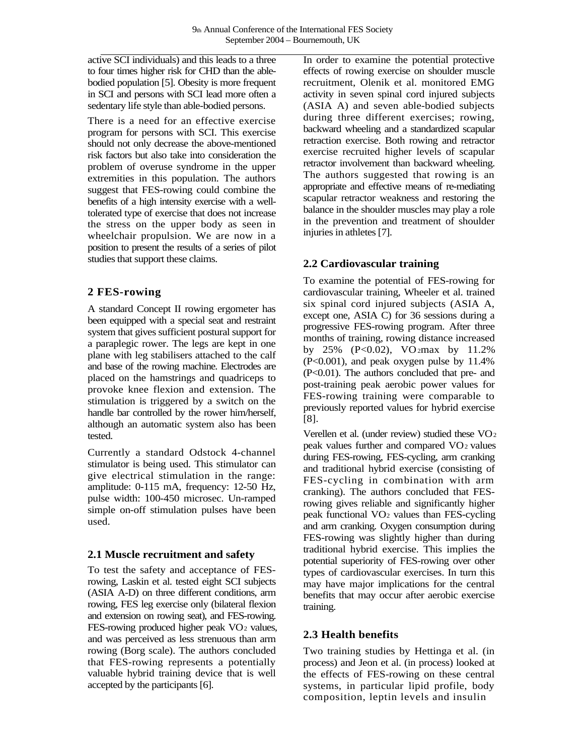active SCI individuals) and this leads to a three to four times higher risk for CHD than the ablebodied population [5]. Obesity is more frequent in SCI and persons with SCI lead more often a sedentary life style than able-bodied persons.

There is a need for an effective exercise program for persons with SCI. This exercise should not only decrease the above-mentioned risk factors but also take into consideration the problem of overuse syndrome in the upper extremities in this population. The authors suggest that FES-rowing could combine the benefits of a high intensity exercise with a welltolerated type of exercise that does not increase the stress on the upper body as seen in wheelchair propulsion. We are now in a position to present the results of a series of pilot studies that support these claims.

### **2 FES-rowing**

A standard Concept II rowing ergometer has been equipped with a special seat and restraint system that gives sufficient postural support for a paraplegic rower. The legs are kept in one plane with leg stabilisers attached to the calf and base of the rowing machine. Electrodes are placed on the hamstrings and quadriceps to provoke knee flexion and extension. The stimulation is triggered by a switch on the handle bar controlled by the rower him/herself, although an automatic system also has been tested.

Currently a standard Odstock 4-channel stimulator is being used. This stimulator can give electrical stimulation in the range: amplitude: 0-115 mA, frequency: 12-50 Hz, pulse width: 100-450 microsec. Un-ramped simple on-off stimulation pulses have been used.

### **2.1 Muscle recruitment and safety**

To test the safety and acceptance of FESrowing, Laskin et al. tested eight SCI subjects (ASIA A-D) on three different conditions, arm rowing, FES leg exercise only (bilateral flexion and extension on rowing seat), and FES-rowing. FES-rowing produced higher peak  $VO<sub>2</sub>$  values, and was perceived as less strenuous than arm rowing (Borg scale). The authors concluded that FES-rowing represents a potentially valuable hybrid training device that is well accepted by the participants [6].

In order to examine the potential protective effects of rowing exercise on shoulder muscle recruitment, Olenik et al. monitored EMG activity in seven spinal cord injured subjects (ASIA A) and seven able-bodied subjects during three different exercises; rowing, backward wheeling and a standardized scapular retraction exercise. Both rowing and retractor exercise recruited higher levels of scapular retractor involvement than backward wheeling. The authors suggested that rowing is an appropriate and effective means of re-mediating scapular retractor weakness and restoring the balance in the shoulder muscles may play a role in the prevention and treatment of shoulder injuries in athletes [7].

## **2.2 Cardiovascular training**

To examine the potential of FES-rowing for cardiovascular training, Wheeler et al. trained six spinal cord injured subjects (ASIA A, except one, ASIA C) for 36 sessions during a progressive FES-rowing program. After three months of training, rowing distance increased by  $25\%$  (P<0.02), VO<sub>2</sub>max by 11.2% (P<0.001), and peak oxygen pulse by 11.4% (P<0.01). The authors concluded that pre- and post-training peak aerobic power values for FES-rowing training were comparable to previously reported values for hybrid exercise [8].

Verellen et al. (under review) studied these VO<sub>2</sub> peak values further and compared VO<sup>2</sup> values during FES-rowing, FES-cycling, arm cranking and traditional hybrid exercise (consisting of FES-cycling in combination with arm cranking). The authors concluded that FESrowing gives reliable and significantly higher peak functional VO<sup>2</sup> values than FES-cycling and arm cranking. Oxygen consumption during FES-rowing was slightly higher than during traditional hybrid exercise. This implies the potential superiority of FES-rowing over other types of cardiovascular exercises. In turn this may have major implications for the central benefits that may occur after aerobic exercise training.

## **2.3 Health benefits**

Two training studies by Hettinga et al. (in process) and Jeon et al. (in process) looked at the effects of FES-rowing on these central systems, in particular lipid profile, body composition, leptin levels and insulin